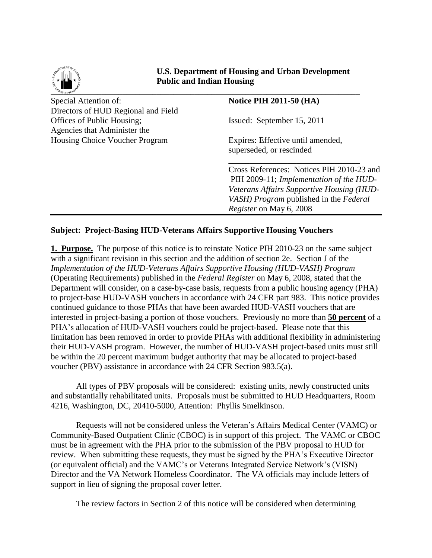

 **U.S. Department of Housing and Urban Development Public and Indian Housing** 

 $\sim$   $\frac{1}{2}$   $\frac{1}{2}$   $\frac{1}{2}$   $\frac{1}{2}$   $\frac{1}{2}$   $\frac{1}{2}$   $\frac{1}{2}$   $\frac{1}{2}$   $\frac{1}{2}$   $\frac{1}{2}$   $\frac{1}{2}$   $\frac{1}{2}$   $\frac{1}{2}$   $\frac{1}{2}$   $\frac{1}{2}$   $\frac{1}{2}$   $\frac{1}{2}$   $\frac{1}{2}$   $\frac{1}{2}$   $\frac{1}{2}$   $\frac{1}{2}$   $\frac{1}{$ Special Attention of: **Notice PIH 2011-50** (HA) Directors of HUD Regional and Field Offices of Public Housing; Issued: September 15, 2011 Agencies that Administer the Housing Choice Voucher Program Expires: Effective until amended, superseded, or rescinded  $\frac{1}{\sqrt{2}}$  ,  $\frac{1}{\sqrt{2}}$  ,  $\frac{1}{\sqrt{2}}$  ,  $\frac{1}{\sqrt{2}}$  ,  $\frac{1}{\sqrt{2}}$  ,  $\frac{1}{\sqrt{2}}$  ,  $\frac{1}{\sqrt{2}}$  ,  $\frac{1}{\sqrt{2}}$  ,  $\frac{1}{\sqrt{2}}$  ,  $\frac{1}{\sqrt{2}}$  ,  $\frac{1}{\sqrt{2}}$  ,  $\frac{1}{\sqrt{2}}$  ,  $\frac{1}{\sqrt{2}}$  ,  $\frac{1}{\sqrt{2}}$  ,  $\frac{1}{\sqrt{2}}$ Cross References: Notices PIH 2010-23 and PIH 2009-11; *Implementation of the HUD-Veterans Affairs Supportive Housing (HUD-VASH) Program* published in the *Federal Register* on May 6, 2008

## **Subject: Project-Basing HUD-Veterans Affairs Supportive Housing Vouchers**

**1. Purpose.** The purpose of this notice is to reinstate Notice PIH 2010-23 on the same subject with a significant revision in this section and the addition of section 2e. Section J of the *Implementation of the HUD-Veterans Affairs Supportive Housing (HUD-VASH) Program*  (Operating Requirements) published in the *Federal Register* on May 6, 2008, stated that the Department will consider, on a case-by-case basis, requests from a public housing agency (PHA) to project-base HUD-VASH vouchers in accordance with 24 CFR part 983. This notice provides continued guidance to those PHAs that have been awarded HUD-VASH vouchers that are interested in project-basing a portion of those vouchers. Previously no more than **50 percent** of a PHA's allocation of HUD-VASH vouchers could be project-based. Please note that this limitation has been removed in order to provide PHAs with additional flexibility in administering their HUD-VASH program. However, the number of HUD-VASH project-based units must still be within the 20 percent maximum budget authority that may be allocated to project-based voucher (PBV) assistance in accordance with 24 CFR Section 983.5(a).

All types of PBV proposals will be considered: existing units, newly constructed units and substantially rehabilitated units. Proposals must be submitted to HUD Headquarters, Room 4216, Washington, DC, 20410-5000, Attention: Phyllis Smelkinson.

Requests will not be considered unless the Veteran's Affairs Medical Center (VAMC) or Community-Based Outpatient Clinic (CBOC) is in support of this project. The VAMC or CBOC must be in agreement with the PHA prior to the submission of the PBV proposal to HUD for review. When submitting these requests, they must be signed by the PHA's Executive Director (or equivalent official) and the VAMC's or Veterans Integrated Service Network's (VISN) Director and the VA Network Homeless Coordinator. The VA officials may include letters of support in lieu of signing the proposal cover letter.

The review factors in Section 2 of this notice will be considered when determining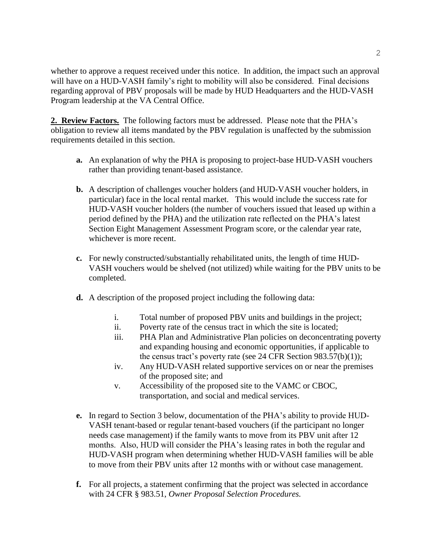whether to approve a request received under this notice. In addition, the impact such an approval will have on a HUD-VASH family's right to mobility will also be considered. Final decisions regarding approval of PBV proposals will be made by HUD Headquarters and the HUD-VASH Program leadership at the VA Central Office.

**2. Review Factors.** The following factors must be addressed. Please note that the PHA's obligation to review all items mandated by the PBV regulation is unaffected by the submission requirements detailed in this section.

- **a.** An explanation of why the PHA is proposing to project-base HUD-VASH vouchers rather than providing tenant-based assistance.
- **b.** A description of challenges voucher holders (and HUD-VASH voucher holders, in particular) face in the local rental market. This would include the success rate for HUD-VASH voucher holders (the number of vouchers issued that leased up within a period defined by the PHA) and the utilization rate reflected on the PHA's latest Section Eight Management Assessment Program score, or the calendar year rate, whichever is more recent.
- **c.** For newly constructed/substantially rehabilitated units, the length of time HUD-VASH vouchers would be shelved (not utilized) while waiting for the PBV units to be completed.
- **d.** A description of the proposed project including the following data:
	- i. Total number of proposed PBV units and buildings in the project;
	- ii. Poverty rate of the census tract in which the site is located;
	- iii. PHA Plan and Administrative Plan policies on deconcentrating poverty and expanding housing and economic opportunities, if applicable to the census tract's poverty rate (see 24 CFR Section  $983.57(b)(1)$ );
	- iv. Any HUD-VASH related supportive services on or near the premises of the proposed site; and
	- v. Accessibility of the proposed site to the VAMC or CBOC, transportation, and social and medical services.
- **e.** In regard to Section 3 below, documentation of the PHA's ability to provide HUD-VASH tenant-based or regular tenant-based vouchers (if the participant no longer needs case management) if the family wants to move from its PBV unit after 12 months. Also, HUD will consider the PHA's leasing rates in both the regular and HUD-VASH program when determining whether HUD-VASH families will be able to move from their PBV units after 12 months with or without case management.
- **f.** For all projects, a statement confirming that the project was selected in accordance with 24 CFR § 983.51, *Owner Proposal Selection Procedures.*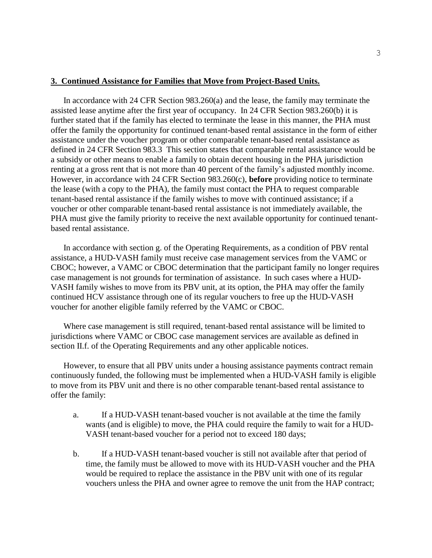## **3. Continued Assistance for Families that Move from Project-Based Units.**

In accordance with 24 CFR Section 983.260(a) and the lease, the family may terminate the assisted lease anytime after the first year of occupancy. In 24 CFR Section 983.260(b) it is further stated that if the family has elected to terminate the lease in this manner, the PHA must offer the family the opportunity for continued tenant-based rental assistance in the form of either assistance under the voucher program or other comparable tenant-based rental assistance as defined in 24 CFR Section 983.3 This section states that comparable rental assistance would be a subsidy or other means to enable a family to obtain decent housing in the PHA jurisdiction renting at a gross rent that is not more than 40 percent of the family's adjusted monthly income. However, in accordance with 24 CFR Section 983.260(c), **before** providing notice to terminate the lease (with a copy to the PHA), the family must contact the PHA to request comparable tenant-based rental assistance if the family wishes to move with continued assistance; if a voucher or other comparable tenant-based rental assistance is not immediately available, the PHA must give the family priority to receive the next available opportunity for continued tenantbased rental assistance.

In accordance with section g. of the Operating Requirements, as a condition of PBV rental assistance, a HUD-VASH family must receive case management services from the VAMC or CBOC; however, a VAMC or CBOC determination that the participant family no longer requires case management is not grounds for termination of assistance. In such cases where a HUD-VASH family wishes to move from its PBV unit, at its option, the PHA may offer the family continued HCV assistance through one of its regular vouchers to free up the HUD-VASH voucher for another eligible family referred by the VAMC or CBOC.

Where case management is still required, tenant-based rental assistance will be limited to jurisdictions where VAMC or CBOC case management services are available as defined in section II.f. of the Operating Requirements and any other applicable notices.

However, to ensure that all PBV units under a housing assistance payments contract remain continuously funded, the following must be implemented when a HUD-VASH family is eligible to move from its PBV unit and there is no other comparable tenant-based rental assistance to offer the family:

- a. If a HUD-VASH tenant-based voucher is not available at the time the family wants (and is eligible) to move, the PHA could require the family to wait for a HUD-VASH tenant-based voucher for a period not to exceed 180 days;
- b. If a HUD-VASH tenant-based voucher is still not available after that period of time, the family must be allowed to move with its HUD-VASH voucher and the PHA would be required to replace the assistance in the PBV unit with one of its regular vouchers unless the PHA and owner agree to remove the unit from the HAP contract;